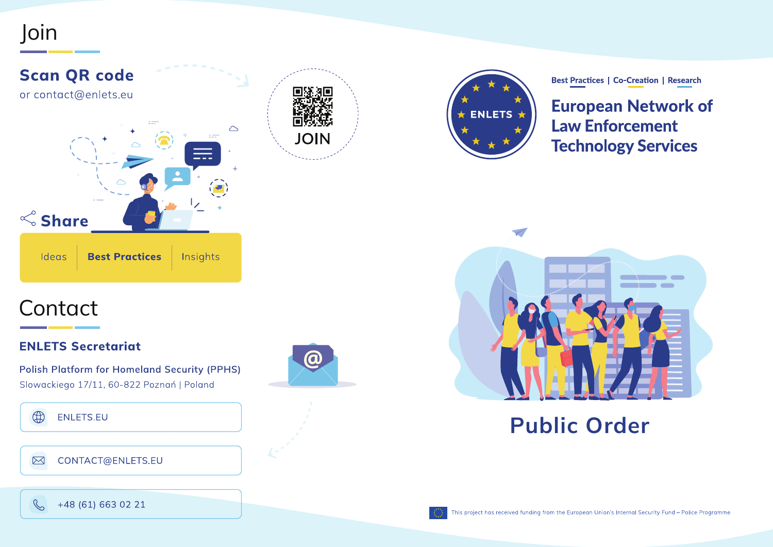### Join







**Best Practices | Co-Creation | Research** 

**European Network of Law Enforcement Technology Services** 



Public Order

# **Contact**

### **ENLETS Secretariat**

**Polish Platform for Homeland Security (PPHS)** Slowackiego 17/11, 60-822 Poznań | Poland



#### $\boxtimes$ CONTACT@ENLETS.EU





 $\mathbb{C}$ +48 (61) 663 02 21